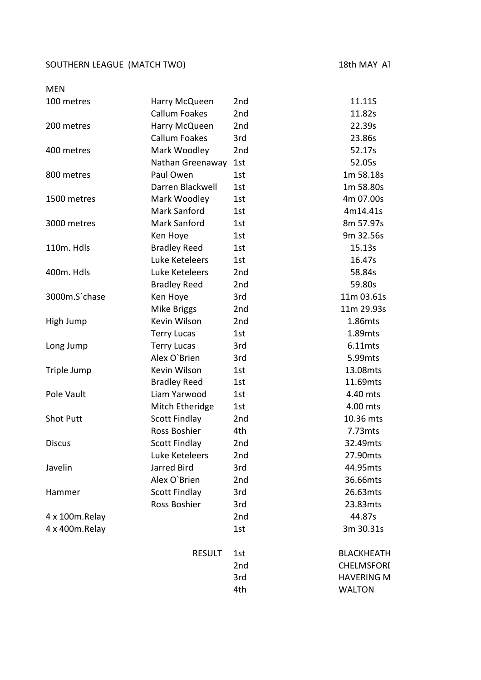## SOUTHERN LEAGUE (MATCH TWO) 18th MAY AT

| <b>MEN</b>       |                      |     |                   |
|------------------|----------------------|-----|-------------------|
| 100 metres       | Harry McQueen        | 2nd | 11.11S            |
|                  | <b>Callum Foakes</b> | 2nd | 11.82s            |
| 200 metres       | Harry McQueen        | 2nd | 22.39s            |
|                  | <b>Callum Foakes</b> | 3rd | 23.86s            |
| 400 metres       | Mark Woodley         | 2nd | 52.17s            |
|                  | Nathan Greenaway     | 1st | 52.05s            |
| 800 metres       | Paul Owen            | 1st | 1m 58.18s         |
|                  | Darren Blackwell     | 1st | 1m 58.80s         |
| 1500 metres      | Mark Woodley         | 1st | 4m 07.00s         |
|                  | Mark Sanford         | 1st | 4m14.41s          |
| 3000 metres      | Mark Sanford         | 1st | 8m 57.97s         |
|                  | Ken Hoye             | 1st | 9m 32.56s         |
| 110m. Hdls       | <b>Bradley Reed</b>  | 1st | 15.13s            |
|                  | Luke Keteleers       | 1st | 16.47s            |
| 400m. Hdls       | Luke Keteleers       | 2nd | 58.84s            |
|                  | <b>Bradley Reed</b>  | 2nd | 59.80s            |
| 3000m.S'chase    | Ken Hoye             | 3rd | 11m 03.61s        |
|                  | Mike Briggs          | 2nd | 11m 29.93s        |
| High Jump        | Kevin Wilson         | 2nd | 1.86mts           |
|                  | <b>Terry Lucas</b>   | 1st | 1.89mts           |
| Long Jump        | <b>Terry Lucas</b>   | 3rd | 6.11mts           |
|                  | Alex O'Brien         | 3rd | 5.99mts           |
| Triple Jump      | Kevin Wilson         | 1st | 13.08mts          |
|                  | <b>Bradley Reed</b>  | 1st | 11.69mts          |
| Pole Vault       | Liam Yarwood         | 1st | 4.40 mts          |
|                  | Mitch Etheridge      | 1st | 4.00 mts          |
| <b>Shot Putt</b> | <b>Scott Findlay</b> | 2nd | 10.36 mts         |
|                  | Ross Boshier         | 4th | 7.73mts           |
| <b>Discus</b>    | Scott Findlay        | 2nd | 32.49mts          |
|                  | Luke Keteleers       | 2nd | 27.90mts          |
| Javelin          | Jarred Bird          | 3rd | 44.95mts          |
|                  | Alex O'Brien         | 2nd | 36.66mts          |
| Hammer           | <b>Scott Findlay</b> | 3rd | 26.63mts          |
|                  | Ross Boshier         | 3rd | 23.83mts          |
| 4 x 100m.Relay   |                      | 2nd | 44.87s            |
| 4 x 400m.Relay   |                      | 1st | 3m 30.31s         |
|                  | <b>RESULT</b>        | 1st | <b>BLACKHEATH</b> |
|                  |                      | 2nd | CHELMSFORI        |
|                  |                      | 3rd | <b>HAVERING M</b> |
|                  |                      | 4th | <b>WALTON</b>     |